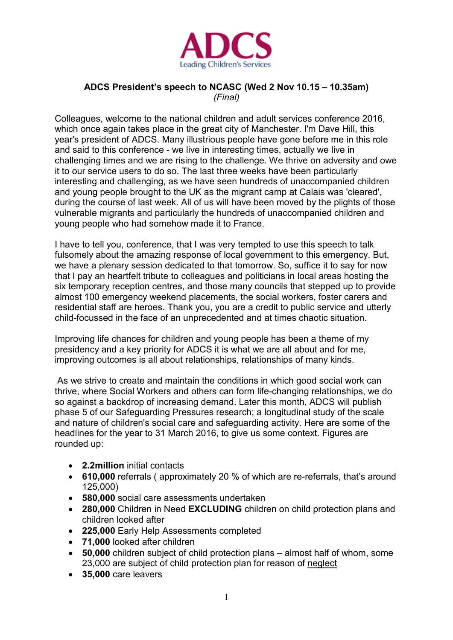

## **ADCS President's speech to NCASC (Wed 2 Nov 10.15 – 10.35am)** *(Final)*

Colleagues, welcome to the national children and adult services conference 2016, which once again takes place in the great city of Manchester. I'm Dave Hill, this year's president of ADCS. Many illustrious people have gone before me in this role and said to this conference - we live in interesting times, actually we live in challenging times and we are rising to the challenge. We thrive on adversity and owe it to our service users to do so. The last three weeks have been particularly interesting and challenging, as we have seen hundreds of unaccompanied children and young people brought to the UK as the migrant camp at Calais was 'cleared', during the course of last week. All of us will have been moved by the plights of those vulnerable migrants and particularly the hundreds of unaccompanied children and young people who had somehow made it to France.

I have to tell you, conference, that I was very tempted to use this speech to talk fulsomely about the amazing response of local government to this emergency. But, we have a plenary session dedicated to that tomorrow. So, suffice it to say for now that I pay an heartfelt tribute to colleagues and politicians in local areas hosting the six temporary reception centres, and those many councils that stepped up to provide almost 100 emergency weekend placements, the social workers, foster carers and residential staff are heroes. Thank you, you are a credit to public service and utterly child-focussed in the face of an unprecedented and at times chaotic situation.

Improving life chances for children and young people has been a theme of my presidency and a key priority for ADCS it is what we are all about and for me, improving outcomes is all about relationships, relationships of many kinds.

As we strive to create and maintain the conditions in which good social work can thrive, where Social Workers and others can form life-changing relationships, we do so against a backdrop of increasing demand. Later this month, ADCS will publish phase 5 of our Safeguarding Pressures research; a longitudinal study of the scale and nature of children's social care and safeguarding activity. Here are some of the headlines for the year to 31 March 2016, to give us some context. Figures are rounded up:

- **2.2million** initial contacts
- **610,000** referrals ( approximately 20 % of which are re-referrals, that's around 125,000)
- **580,000** social care assessments undertaken
- **280,000** Children in Need **EXCLUDING** children on child protection plans and children looked after
- **225,000** Early Help Assessments completed
- **71,000** looked after children
- **50,000** children subject of child protection plans almost half of whom, some 23,000 are subject of child protection plan for reason of neglect
- **35,000** care leavers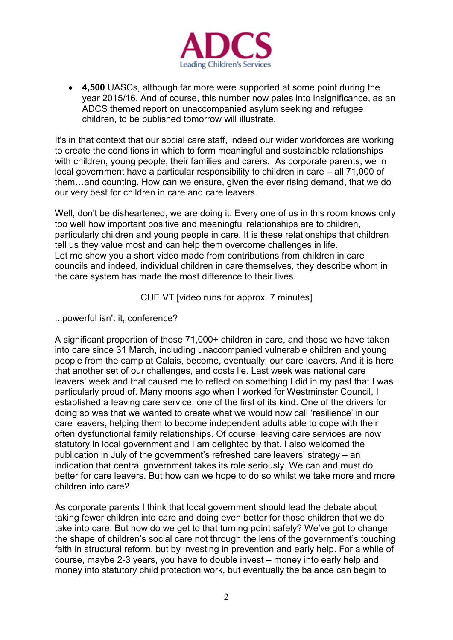

• **4,500** UASCs, although far more were supported at some point during the year 2015/16. And of course, this number now pales into insignificance, as an ADCS themed report on unaccompanied asylum seeking and refugee children, to be published tomorrow will illustrate.

It's in that context that our social care staff, indeed our wider workforces are working to create the conditions in which to form meaningful and sustainable relationships with children, young people, their families and carers. As corporate parents, we in local government have a particular responsibility to children in care – all 71,000 of them…and counting. How can we ensure, given the ever rising demand, that we do our very best for children in care and care leavers.

Well, don't be disheartened, we are doing it. Every one of us in this room knows only too well how important positive and meaningful relationships are to children, particularly children and young people in care. It is these relationships that children tell us they value most and can help them overcome challenges in life. Let me show you a short video made from contributions from children in care councils and indeed, individual children in care themselves, they describe whom in the care system has made the most difference to their lives.

CUE VT [video runs for approx. 7 minutes]

...powerful isn't it, conference?

A significant proportion of those 71,000+ children in care, and those we have taken into care since 31 March, including unaccompanied vulnerable children and young people from the camp at Calais, become, eventually, our care leavers. And it is here that another set of our challenges, and costs lie. Last week was national care leavers' week and that caused me to reflect on something I did in my past that I was particularly proud of. Many moons ago when I worked for Westminster Council, I established a leaving care service, one of the first of its kind. One of the drivers for doing so was that we wanted to create what we would now call 'resilience' in our care leavers, helping them to become independent adults able to cope with their often dysfunctional family relationships. Of course, leaving care services are now statutory in local government and I am delighted by that. I also welcomed the publication in July of the government's refreshed care leavers' strategy – an indication that central government takes its role seriously. We can and must do better for care leavers. But how can we hope to do so whilst we take more and more children into care?

As corporate parents I think that local government should lead the debate about taking fewer children into care and doing even better for those children that we do take into care. But how do we get to that turning point safely? We've got to change the shape of children's social care not through the lens of the government's touching faith in structural reform, but by investing in prevention and early help. For a while of course, maybe 2-3 years, you have to double invest – money into early help and money into statutory child protection work, but eventually the balance can begin to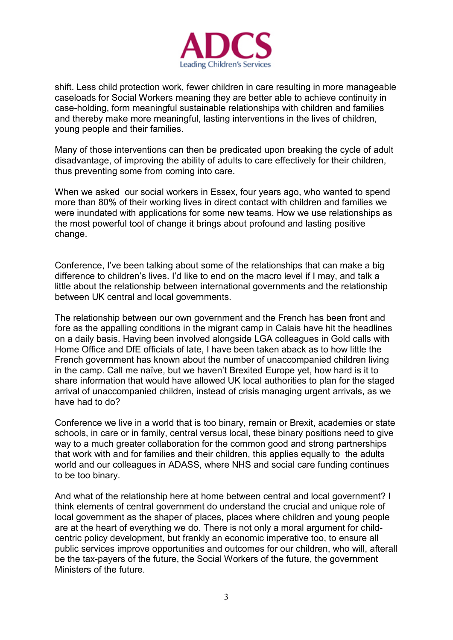

shift. Less child protection work, fewer children in care resulting in more manageable caseloads for Social Workers meaning they are better able to achieve continuity in case-holding, form meaningful sustainable relationships with children and families and thereby make more meaningful, lasting interventions in the lives of children, young people and their families.

Many of those interventions can then be predicated upon breaking the cycle of adult disadvantage, of improving the ability of adults to care effectively for their children, thus preventing some from coming into care.

When we asked our social workers in Essex, four years ago, who wanted to spend more than 80% of their working lives in direct contact with children and families we were inundated with applications for some new teams. How we use relationships as the most powerful tool of change it brings about profound and lasting positive change.

Conference, I've been talking about some of the relationships that can make a big difference to children's lives. I'd like to end on the macro level if I may, and talk a little about the relationship between international governments and the relationship between UK central and local governments.

The relationship between our own government and the French has been front and fore as the appalling conditions in the migrant camp in Calais have hit the headlines on a daily basis. Having been involved alongside LGA colleagues in Gold calls with Home Office and DfE officials of late, I have been taken aback as to how little the French government has known about the number of unaccompanied children living in the camp. Call me naïve, but we haven't Brexited Europe yet, how hard is it to share information that would have allowed UK local authorities to plan for the staged arrival of unaccompanied children, instead of crisis managing urgent arrivals, as we have had to do?

Conference we live in a world that is too binary, remain or Brexit, academies or state schools, in care or in family, central versus local, these binary positions need to give way to a much greater collaboration for the common good and strong partnerships that work with and for families and their children, this applies equally to the adults world and our colleagues in ADASS, where NHS and social care funding continues to be too binary.

And what of the relationship here at home between central and local government? I think elements of central government do understand the crucial and unique role of local government as the shaper of places, places where children and young people are at the heart of everything we do. There is not only a moral argument for childcentric policy development, but frankly an economic imperative too, to ensure all public services improve opportunities and outcomes for our children, who will, afterall be the tax-payers of the future, the Social Workers of the future, the government Ministers of the future.